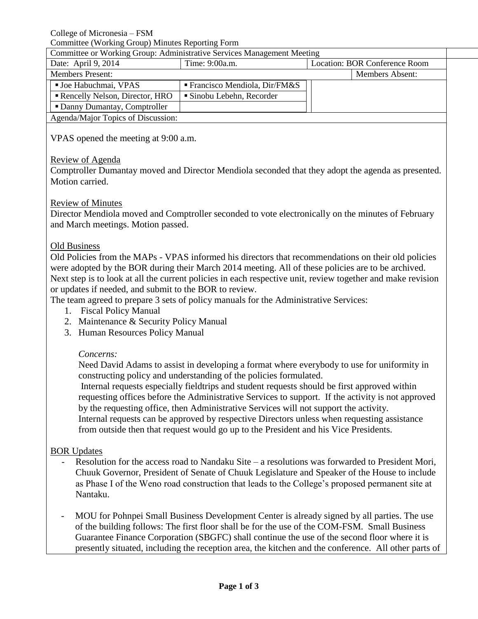College of Micronesia – FSM

Committee (Working Group) Minutes Reporting Form

| Committee or Working Group: Administrative Services Management Meeting |  |
|------------------------------------------------------------------------|--|
|                                                                        |  |

| Commute of Woming Cloup, Frammotian to Der Hoos Management Moothing |                                             |                               |                        |  |  |
|---------------------------------------------------------------------|---------------------------------------------|-------------------------------|------------------------|--|--|
| Date: April 9, 2014                                                 | Time: 9:00a.m.                              | Location: BOR Conference Room |                        |  |  |
| <b>Members Present:</b>                                             |                                             |                               | <b>Members Absent:</b> |  |  |
| ■ Joe Habuchmai, VPAS                                               | $\blacksquare$ Francisco Mendiola, Dir/FM&S |                               |                        |  |  |
| Rencelly Nelson, Director, HRO                                      | • Sinobu Lebehn, Recorder                   |                               |                        |  |  |
| • Danny Dumantay, Comptroller                                       |                                             |                               |                        |  |  |
| Agenda/Major Topics of Discussion:                                  |                                             |                               |                        |  |  |

VPAS opened the meeting at 9:00 a.m.

### Review of Agenda

Comptroller Dumantay moved and Director Mendiola seconded that they adopt the agenda as presented. Motion carried.

#### Review of Minutes

Director Mendiola moved and Comptroller seconded to vote electronically on the minutes of February and March meetings. Motion passed.

### Old Business

Old Policies from the MAPs - VPAS informed his directors that recommendations on their old policies were adopted by the BOR during their March 2014 meeting. All of these policies are to be archived. Next step is to look at all the current policies in each respective unit, review together and make revision or updates if needed, and submit to the BOR to review.

The team agreed to prepare 3 sets of policy manuals for the Administrative Services:

- 1. Fiscal Policy Manual
- 2. Maintenance & Security Policy Manual
- 3. Human Resources Policy Manual

#### *Concerns:*

Need David Adams to assist in developing a format where everybody to use for uniformity in constructing policy and understanding of the policies formulated.

Internal requests especially fieldtrips and student requests should be first approved within requesting offices before the Administrative Services to support. If the activity is not approved by the requesting office, then Administrative Services will not support the activity. Internal requests can be approved by respective Directors unless when requesting assistance

from outside then that request would go up to the President and his Vice Presidents.

# BOR Updates

Resolution for the access road to Nandaku Site – a resolutions was forwarded to President Mori, Chuuk Governor, President of Senate of Chuuk Legislature and Speaker of the House to include as Phase I of the Weno road construction that leads to the College's proposed permanent site at Nantaku.

MOU for Pohnpei Small Business Development Center is already signed by all parties. The use of the building follows: The first floor shall be for the use of the COM-FSM. Small Business Guarantee Finance Corporation (SBGFC) shall continue the use of the second floor where it is presently situated, including the reception area, the kitchen and the conference. All other parts of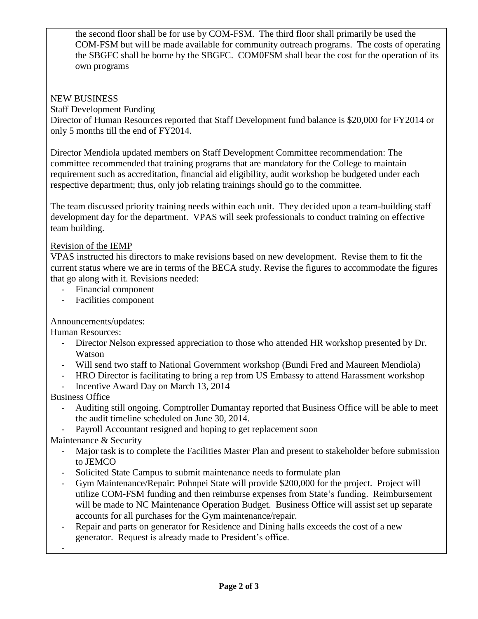the second floor shall be for use by COM-FSM. The third floor shall primarily be used the COM-FSM but will be made available for community outreach programs. The costs of operating the SBGFC shall be borne by the SBGFC. COM0FSM shall bear the cost for the operation of its own programs

# NEW BUSINESS

Staff Development Funding

Director of Human Resources reported that Staff Development fund balance is \$20,000 for FY2014 or only 5 months till the end of FY2014.

Director Mendiola updated members on Staff Development Committee recommendation: The committee recommended that training programs that are mandatory for the College to maintain requirement such as accreditation, financial aid eligibility, audit workshop be budgeted under each respective department; thus, only job relating trainings should go to the committee.

The team discussed priority training needs within each unit. They decided upon a team-building staff development day for the department. VPAS will seek professionals to conduct training on effective team building.

# Revision of the IEMP

VPAS instructed his directors to make revisions based on new development. Revise them to fit the current status where we are in terms of the BECA study. Revise the figures to accommodate the figures that go along with it. Revisions needed:

- Financial component
- Facilities component

# Announcements/updates:

Human Resources:

- Director Nelson expressed appreciation to those who attended HR workshop presented by Dr. Watson
- Will send two staff to National Government workshop (Bundi Fred and Maureen Mendiola)
- HRO Director is facilitating to bring a rep from US Embassy to attend Harassment workshop
- Incentive Award Day on March 13, 2014

Business Office

- Auditing still ongoing. Comptroller Dumantay reported that Business Office will be able to meet the audit timeline scheduled on June 30, 2014.
- Payroll Accountant resigned and hoping to get replacement soon

Maintenance & Security

- Major task is to complete the Facilities Master Plan and present to stakeholder before submission to JEMCO
- Solicited State Campus to submit maintenance needs to formulate plan
- Gym Maintenance/Repair: Pohnpei State will provide \$200,000 for the project. Project will utilize COM-FSM funding and then reimburse expenses from State's funding. Reimbursement will be made to NC Maintenance Operation Budget. Business Office will assist set up separate accounts for all purchases for the Gym maintenance/repair.
- Repair and parts on generator for Residence and Dining halls exceeds the cost of a new generator. Request is already made to President's office.